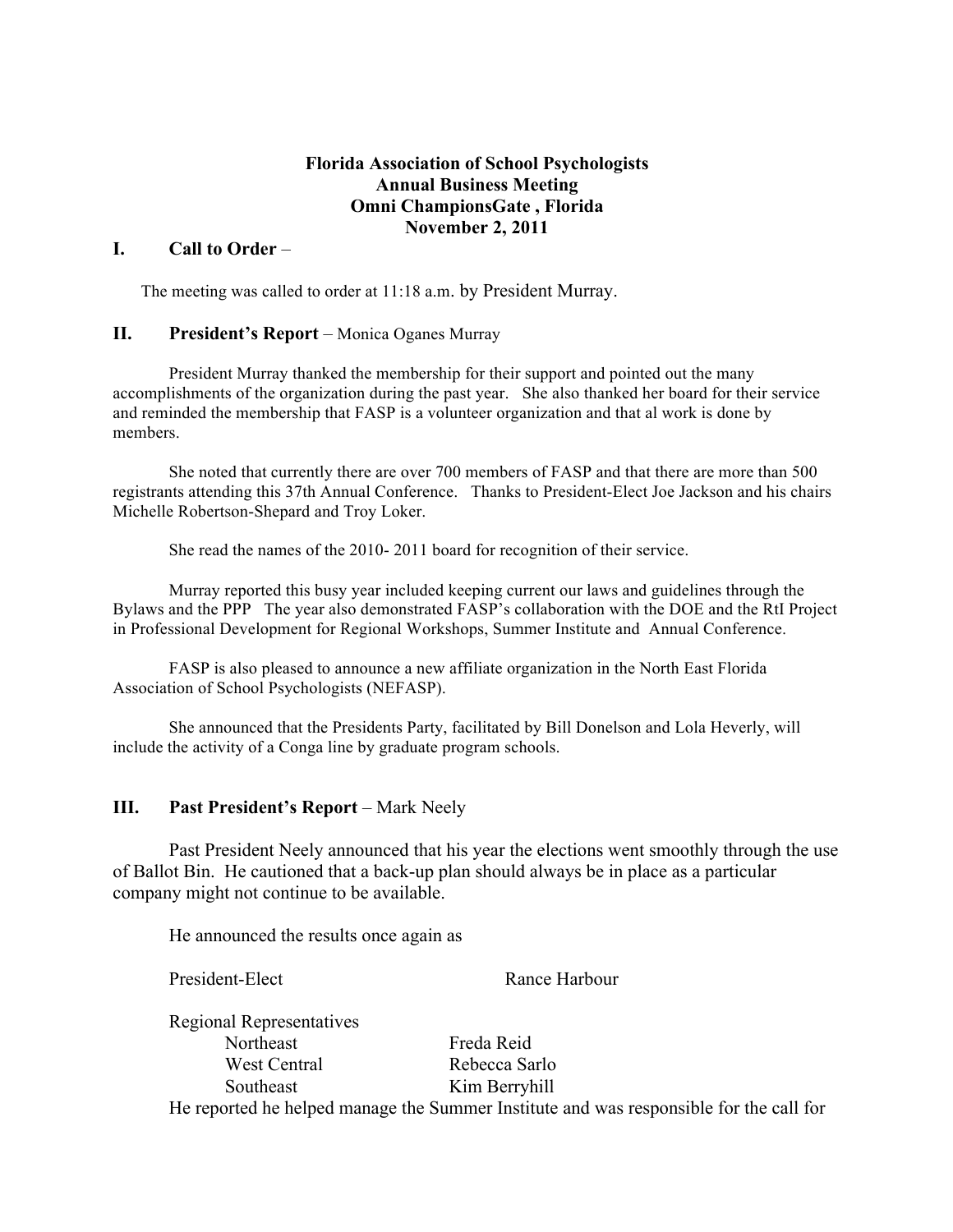## **Florida Association of School Psychologists Annual Business Meeting Omni ChampionsGate , Florida November 2, 2011**

#### **I. Call to Order** –

The meeting was called to order at 11:18 a.m. by President Murray.

#### **II. President's Report** – Monica Oganes Murray

President Murray thanked the membership for their support and pointed out the many accomplishments of the organization during the past year. She also thanked her board for their service and reminded the membership that FASP is a volunteer organization and that al work is done by members.

She noted that currently there are over 700 members of FASP and that there are more than 500 registrants attending this 37th Annual Conference. Thanks to President-Elect Joe Jackson and his chairs Michelle Robertson-Shepard and Troy Loker.

She read the names of the 2010- 2011 board for recognition of their service.

Murray reported this busy year included keeping current our laws and guidelines through the Bylaws and the PPP The year also demonstrated FASP's collaboration with the DOE and the RtI Project in Professional Development for Regional Workshops, Summer Institute and Annual Conference.

FASP is also pleased to announce a new affiliate organization in the North East Florida Association of School Psychologists (NEFASP).

She announced that the Presidents Party, facilitated by Bill Donelson and Lola Heverly, will include the activity of a Conga line by graduate program schools.

## **III. Past President's Report** – Mark Neely

Past President Neely announced that his year the elections went smoothly through the use of Ballot Bin. He cautioned that a back-up plan should always be in place as a particular company might not continue to be available.

He announced the results once again as

President-Elect Rance Harbour

Regional Representatives Northeast Freda Reid West Central Rebecca Sarlo Southeast Kim Berryhill He reported he helped manage the Summer Institute and was responsible for the call for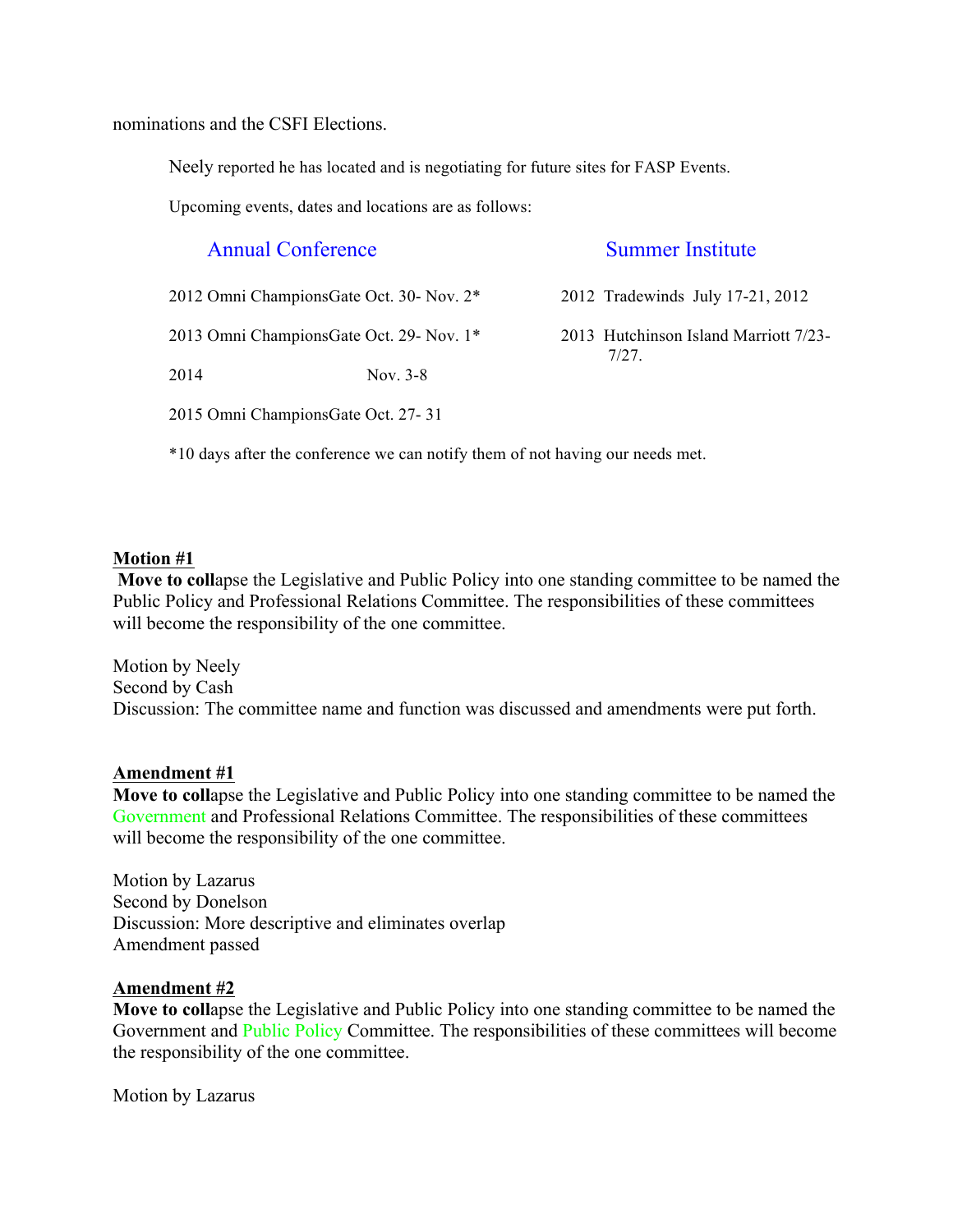nominations and the CSFI Elections.

Neely reported he has located and is negotiating for future sites for FASP Events.

Upcoming events, dates and locations are as follows:

# Annual Conference Summer Institute

| 2012 Omni ChampionsGate Oct. 30- Nov. 2* |            | 2012 Tradewinds July 17-21, 2012              |
|------------------------------------------|------------|-----------------------------------------------|
| 2013 Omni ChampionsGate Oct. 29- Nov. 1* |            | 2013 Hutchinson Island Marriott 7/23-<br>7/27 |
| 2014                                     | Nov. $3-8$ |                                               |

2015 Omni ChampionsGate Oct. 27- 31

\*10 days after the conference we can notify them of not having our needs met.

## **Motion #1**

**Move to coll**apse the Legislative and Public Policy into one standing committee to be named the Public Policy and Professional Relations Committee. The responsibilities of these committees will become the responsibility of the one committee.

Motion by Neely Second by Cash Discussion: The committee name and function was discussed and amendments were put forth.

## **Amendment #1**

**Move to coll**apse the Legislative and Public Policy into one standing committee to be named the Government and Professional Relations Committee. The responsibilities of these committees will become the responsibility of the one committee.

Motion by Lazarus Second by Donelson Discussion: More descriptive and eliminates overlap Amendment passed

## **Amendment #2**

**Move to coll**apse the Legislative and Public Policy into one standing committee to be named the Government and Public Policy Committee. The responsibilities of these committees will become the responsibility of the one committee.

Motion by Lazarus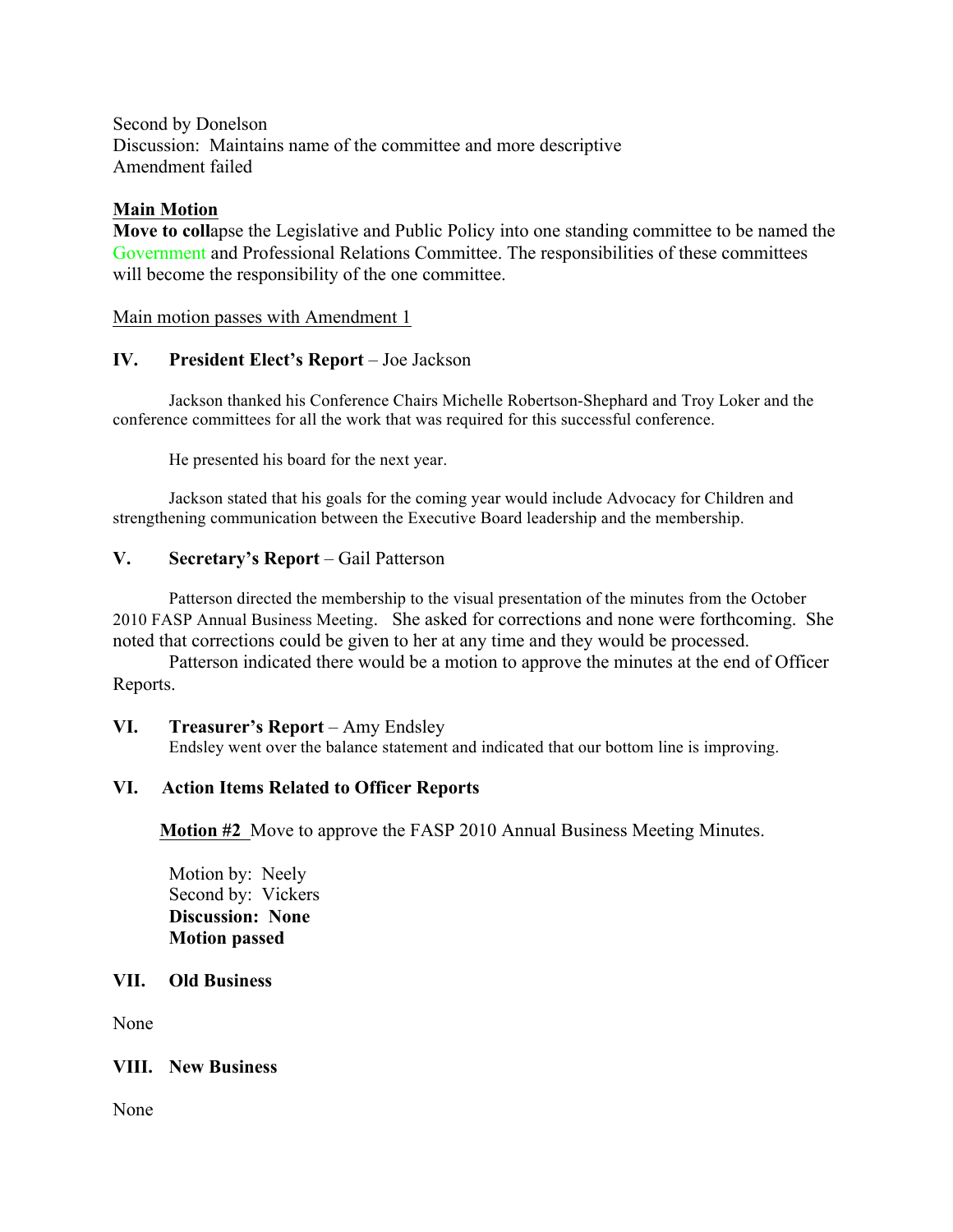Second by Donelson Discussion: Maintains name of the committee and more descriptive Amendment failed

## **Main Motion**

**Move to coll**apse the Legislative and Public Policy into one standing committee to be named the Government and Professional Relations Committee. The responsibilities of these committees will become the responsibility of the one committee.

Main motion passes with Amendment 1

## **IV. President Elect's Report** – Joe Jackson

Jackson thanked his Conference Chairs Michelle Robertson-Shephard and Troy Loker and the conference committees for all the work that was required for this successful conference.

He presented his board for the next year.

Jackson stated that his goals for the coming year would include Advocacy for Children and strengthening communication between the Executive Board leadership and the membership.

## **V. Secretary's Report** – Gail Patterson

Patterson directed the membership to the visual presentation of the minutes from the October 2010 FASP Annual Business Meeting. She asked for corrections and none were forthcoming. She noted that corrections could be given to her at any time and they would be processed.

Patterson indicated there would be a motion to approve the minutes at the end of Officer Reports.

## **VI. Treasurer's Report** – Amy Endsley

Endsley went over the balance statement and indicated that our bottom line is improving.

## **VI. Action Items Related to Officer Reports**

**Motion #2** Move to approve the FASP 2010 Annual Business Meeting Minutes.

Motion by: Neely Second by: Vickers **Discussion: None Motion passed**

## **VII. Old Business**

None

## **VIII. New Business**

None